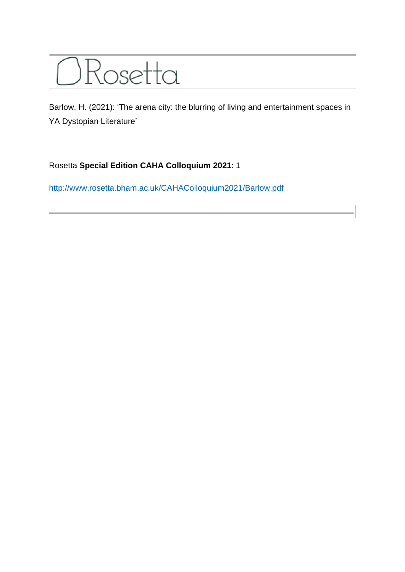

Barlow, H. (2021): 'The arena city: the blurring of living and entertainment spaces in YA Dystopian Literature'

## Rosetta **Special Edition CAHA Colloquium 2021**: 1

<http://www.rosetta.bham.ac.uk/CAHAColloquium2021/Barlow.pdf>